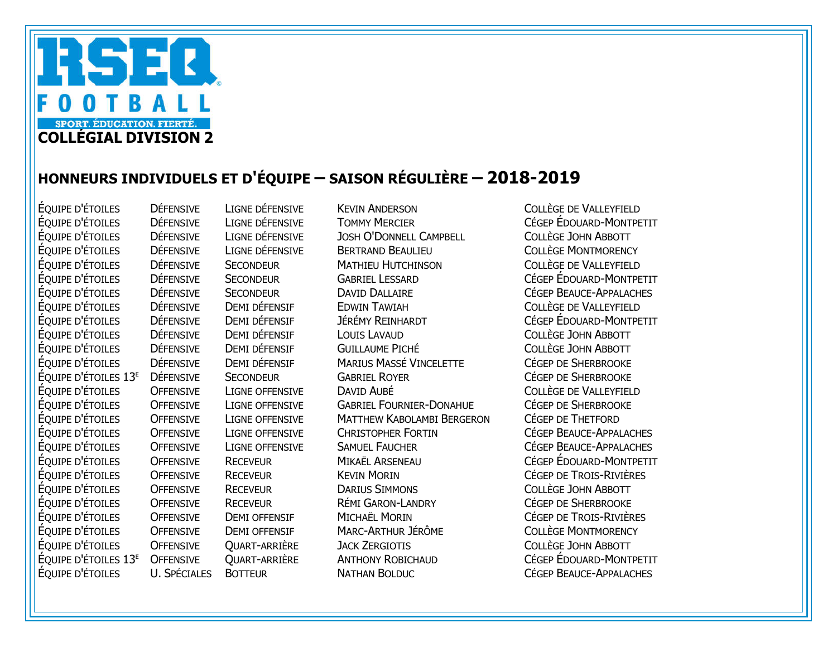

## HONNEURS INDIVIDUELS ET D'ÉQUIPE – SAISON RÉGULIÈRE – 2018-2019

ÉQUIPE D'ÉTOILES DÉFENSIVE LIGNE DÉFENSIVE KEVIN ANDERSON COLLÈGE DE VALLEYFIELD ÉQUIPE D'ÉTOILES DÉFENSIVE LIGNE DÉFENSIVE TOMMY MERCIER CÉGEP ÉDOUARD-MONTPETIT ÉQUIPE D'ÉTOILES DÉFENSIVE LIGNE DÉFENSIVE JOSH O'DONNELL CAMPBELL COLLÈGE JOHN ABBOTT ÉQUIPE D'ÉTOILES DÉFENSIVE LIGNE DÉFENSIVE BERTRAND BEAULIEU COLLÈGE MONTMORENCY ÉQUIPE D'ÉTOILES DÉFENSIVE SECONDEUR MATHIEU HUTCHINSON COLLÈGE DE VALLEYFIELD ÉQUIPE D'ÉTOILES DÉFENSIVE SECONDEUR GABRIEL LESSARD CÉGEP ÉDOUARD-MONTPETIT ÉQUIPE D'ÉTOILES DÉFENSIVE SECONDEUR DAVID DALLAIRE CÉGEP BEAUCE-APPALACHES ÉQUIPE D'ÉTOILES DÉFENSIVE DEMI DÉFENSIF EDWIN TAWIAH COLLÈGE DE VALLEYFIELD ÉQUIPE D'ÉTOILES DÉFENSIVE DEMI DÉFENSIF JÉRÉMY REINHARDT CÉGEP ÉDOUARD-MONTPETIT ÉQUIPE D'ÉTOILES DÉFENSIVE DEMI DÉFENSIF LOUIS LAVAUD COLLÈGE JOHN ABBOTT ÉQUIPE D'ÉTOILES DÉFENSIVE DEMI DÉFENSIF GUILLAUME PICHÉ COLLÈGE JOHN ABBOTT ÉQUIPE D'ÉTOILES DÉFENSIVE DEMI DÉFENSIF MARIUS MASSÉ VINCELETTE CÉGEP DE SHERBROOKE ÉQUIPE D'ÉTOILES 13E DÉFENSIVE SECONDEUR GABRIEL ROYER CÉGEP DE SHERBROOKE ÉQUIPE D'ÉTOILES OFFENSIVE LIGNE OFFENSIVE DAVID AUBÉ COLLÈGE DE VALLEYFIELD ÉQUIPE D'ÉTOILES OFFENSIVE LIGNE OFFENSIVE GABRIEL FOURNIER-DONAHUE CÉGEP DE SHERBROOKE ÉQUIPE D'ÉTOILES OFFENSIVE LIGNE OFFENSIVE MATTHEW KABOLAMBI BERGERON CÉGEP DE THETFORD ÉQUIPE D'ÉTOILES OFFENSIVE LIGNE OFFENSIVE CHRISTOPHER FORTIN CÉGEP BEAUCE-APPALACHES ÉQUIPE D'ÉTOILES OFFENSIVE LIGNE OFFENSIVE SAMUEL FAUCHER CÉGEP BEAUCE-APPALACHES ÉQUIPE D'ÉTOILES OFFENSIVE RECEVEUR MIKAËL ARSENEAU CÉGEP ÉDOUARD-MONTPETIT ÉQUIPE D'ÉTOILES OFFENSIVE RECEVEUR KEVIN MORIN CÉGEP DE TROIS-RIVIÈRES OFFENSIVE RECEVEUR DARIUS SIMMONS COLLÈGE JOHN ABBOTT ÉQUIPE D'ÉTOILES OFFENSIVE RECEVEUR RÉMI GARON-LANDRY CÉGEP DE SHERBROOKE ÉQUIPE D'ÉTOILES OFFENSIVE DEMI OFFENSIF MICHAËL MORIN CÉGEP DE TROIS-RIVIÈRES OFFENSIVE DEMI OFFENSIF MARC-ARTHUR JÉRÔME COLLÈGE MONTMORENCY ÉQUIPE D'ÉTOILES OFFENSIVE QUART-ARRIÈRE JACK ZERGIOTIS COLLÈGE JOHN ABBOTT ÉQUIPE D'ÉTOILES 13E OFFENSIVE QUART-ARRIÈRE ANTHONY ROBICHAUD CÉGEP ÉDOUARD-MONTPETIT ÉQUIPE D'ÉTOILES U. SPÉCIALES BOTTEUR NATHAN BOLDUC CÉGEP BEAUCE-APPALACHES